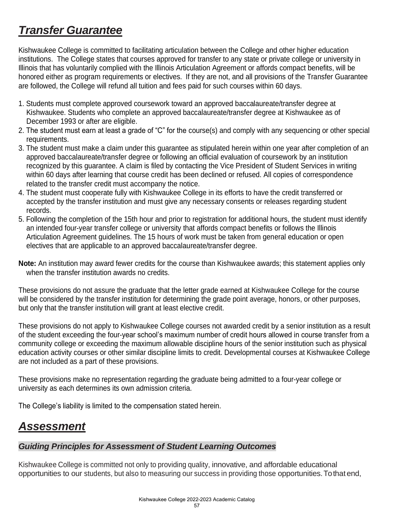

## *Guiding Principles for Assessment of Student Learning Outcomes*

Kishwaukee College is committed not only to providing quality, innovative, and affordable educational opportunities to our students, but also to measuring our success in providing those opportunities.Tothatend,

> Kishwaukee College 2022-2023 Academic Catalog 57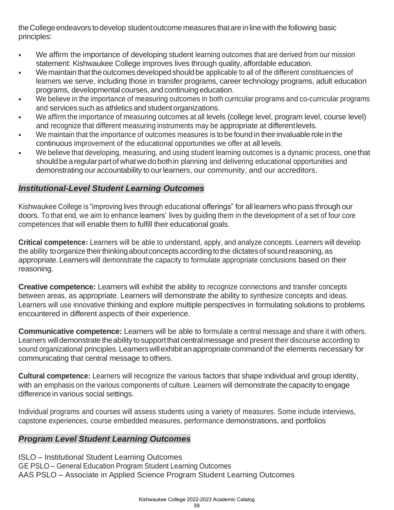the College endeavors to develop student outcome measures that are in line with the following basic principles:

- We affirm the importance of developing student learning outcomes that are derived from our mission statement: Kishwaukee College improves lives through quality, affordable education.
- We maintain that the outcomes developed should be applicable to all of the different constituencies of learners we serve, including those in transfer programs, career technology programs, adult education programs, developmental courses, and continuing education.
- We believe in the importance of measuring outcomes in both curricular programs and co-curricular programs and services such as athletics and student organizations.
- We affirm the importance of measuring outcomes at all levels (college level, program level, course level) and recognize that different measuring instruments may be appropriate at differentlevels.
- We maintain that the importance of outcomes measures is to be found in their invaluable role in the continuous improvement of the educational opportunities we offer at all levels.
- We believe that developing, measuring, and using student learning outcomes is a dynamic process, one that should be a regular part of what we do both in planning and delivering educational opportunities and demonstrating our accountability to ourlearners, our community, and our accreditors.

## *Institutional-Level Student Learning Outcomes*

Kishwaukee College is "improving lives through educational offerings" for all learners who pass through our doors. To that end, we aim to enhance learners' lives by guiding them in the development of a set of four core competences that will enable them to fulfill their educational goals.

**Critical competence:** Learners will be able to understand, apply, and analyze concepts. Learners will develop the ability to organize their thinking about concepts according to the dictates of sound reasoning, as appropriate.Learners will demonstrate the capacity to formulate appropriate conclusions based on their reasoning.

**Creative competence:** Learners will exhibit the ability to recognize connections and transfer concepts between areas, as appropriate. Learners will demonstrate the ability to synthesize concepts and ideas. Learners will use innovative thinking and explore multiple perspectives in formulating solutions to problems encountered in different aspects of their experience.

**Communicative competence:** Learners will be able to formulate a central message and share it with others. Learners will demonstrate the ability to support that central message and present their discourse according to sound organizational principles. Learners will exhibit an appropriate command of the elements necessary for communicating that central message to others.

**Cultural competence:** Learners will recognize the various factors that shape individual and group identity, with an emphasis on the various components of culture. Learners will demonstrate the capacity to engage difference in various social settings.

Individual programs and courses will assess students using a variety of measures. Some include interviews, capstone experiences, course embedded measures, performance demonstrations, and portfolios

## *Program Level Student Learning Outcomes*

ISLO – Institutional Student Learning Outcomes GE PSLO – General Education Program Student Learning Outcomes AAS PSLO – Associate in Applied Science Program Student Learning Outcomes